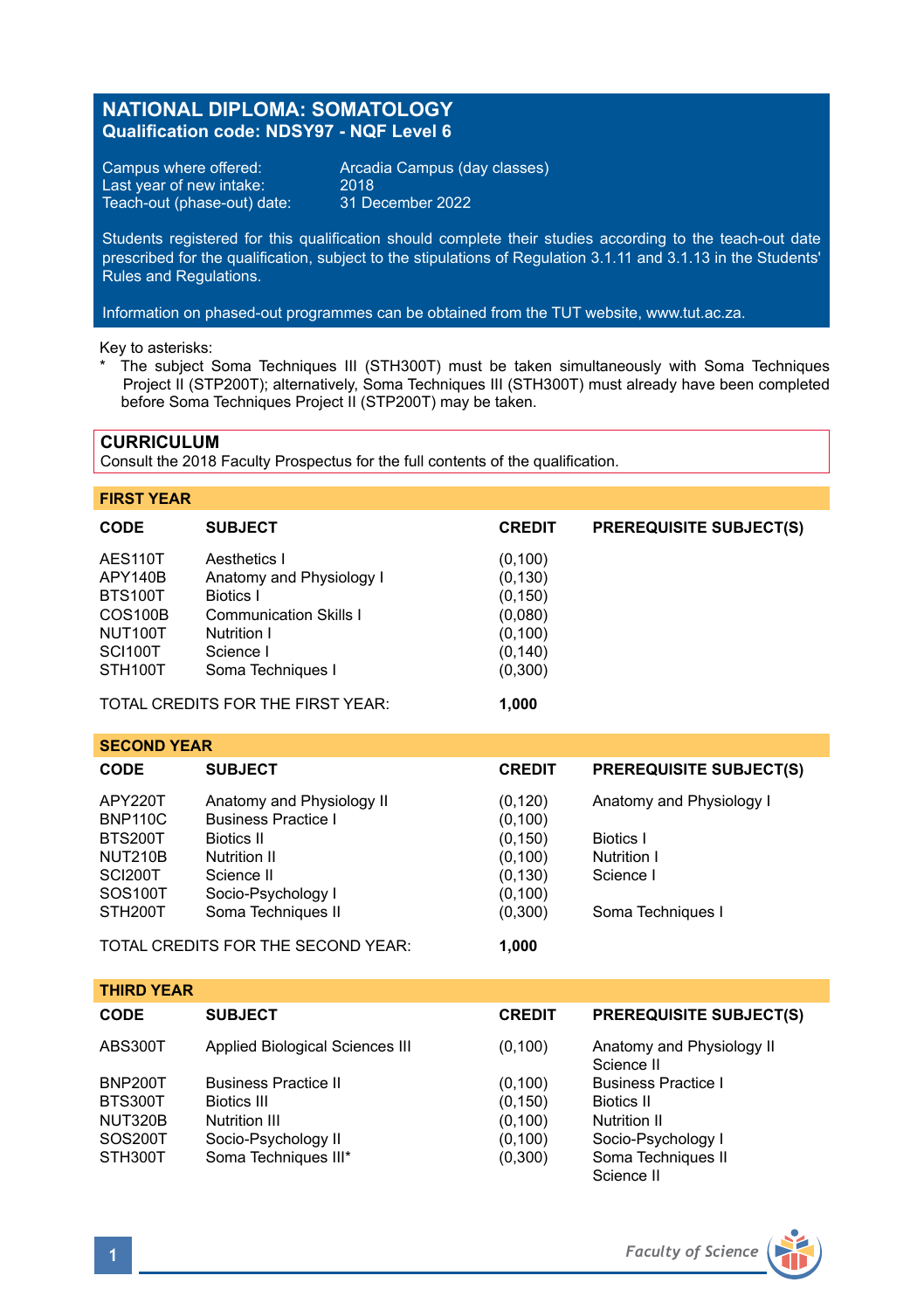# **NATIONAL DIPLOMA: SOMATOLOGY Qualification code: NDSY97 - NQF Level 6**

Last year of new intake:  $2018$ <br>Teach-out (phase-out) date: 31 December 2022 Teach-out (phase-out) date:

Campus where offered: Arcadia Campus (day classes)

Students registered for this qualification should complete their studies according to the teach-out date prescribed for the qualification, subject to the stipulations of Regulation 3.1.11 and 3.1.13 in the Students' Rules and Regulations.

Information on phased-out programmes can be obtained from the TUT website, www.tut.ac.za.

Key to asterisks:

\* The subject Soma Techniques III (STH300T) must be taken simultaneously with Soma Techniques Project II (STP200T); alternatively, Soma Techniques III (STH300T) must already have been completed before Soma Techniques Project II (STP200T) may be taken.

### **CURRICULUM**

Consult the 2018 Faculty Prospectus for the full contents of the qualification.

### **FIRST YEAR**

| <b>CODE</b>               | <b>SUBJECT</b>                        | <b>CREDIT</b>        | <b>PREREQUISITE SUBJECT(S)</b> |
|---------------------------|---------------------------------------|----------------------|--------------------------------|
| AES110T                   | Aesthetics I                          | (0, 100)             |                                |
| APY140B<br><b>BTS100T</b> | Anatomy and Physiology I<br>Biotics I | (0, 130)<br>(0, 150) |                                |
| COS <sub>100</sub> B      | Communication Skills I                | (0,080)              |                                |
| NUT100T<br>SCI100T        | Nutrition I<br>Science I              | (0, 100)<br>(0, 140) |                                |
| STH <sub>100</sub> T      | Soma Techniques I                     | (0,300)              |                                |

TOTAL CREDITS FOR THE FIRST YEAR: **1,000**

| <b>SECOND YEAR</b>                 |                            |               |                                |  |  |  |
|------------------------------------|----------------------------|---------------|--------------------------------|--|--|--|
| <b>CODE</b>                        | <b>SUBJECT</b>             | <b>CREDIT</b> | <b>PREREQUISITE SUBJECT(S)</b> |  |  |  |
| APY220T                            | Anatomy and Physiology II  | (0, 120)      | Anatomy and Physiology I       |  |  |  |
| <b>BNP110C</b>                     | <b>Business Practice I</b> | (0, 100)      |                                |  |  |  |
| <b>BTS200T</b>                     | Biotics II                 | (0, 150)      | <b>Biotics I</b>               |  |  |  |
| <b>NUT210B</b>                     | Nutrition II               | (0, 100)      | Nutrition I                    |  |  |  |
| SCI200T                            | Science II                 | (0, 130)      | Science I                      |  |  |  |
| SOS100T                            | Socio-Psychology I         | (0, 100)      |                                |  |  |  |
| STH <sub>200</sub> T               | Soma Techniques II         | (0,300)       | Soma Techniques I              |  |  |  |
| TOTAL CREDITS FOR THE SECOND YEAR: |                            | 1.000         |                                |  |  |  |

**THIRD YEAR CODE SUBJECT CREDIT PREREQUISITE SUBJECT(S)** ABS300T Applied Biological Sciences III (0,100) Anatomy and Physiology II Science II<br>Business Practice I BNP200T Business Practice II (0,100) Business<br>BTS300T Biotics III (0.150) Biotics II BTS300T Biotics III (0,150) Biotics II NUT320B Nutrition III (0,100) Nutrition II SOS200T Socio-Psychology II (0,100) Socio-Psychology I STH300T Soma Techniques III\* (0,300) Soma Techniques II Science II

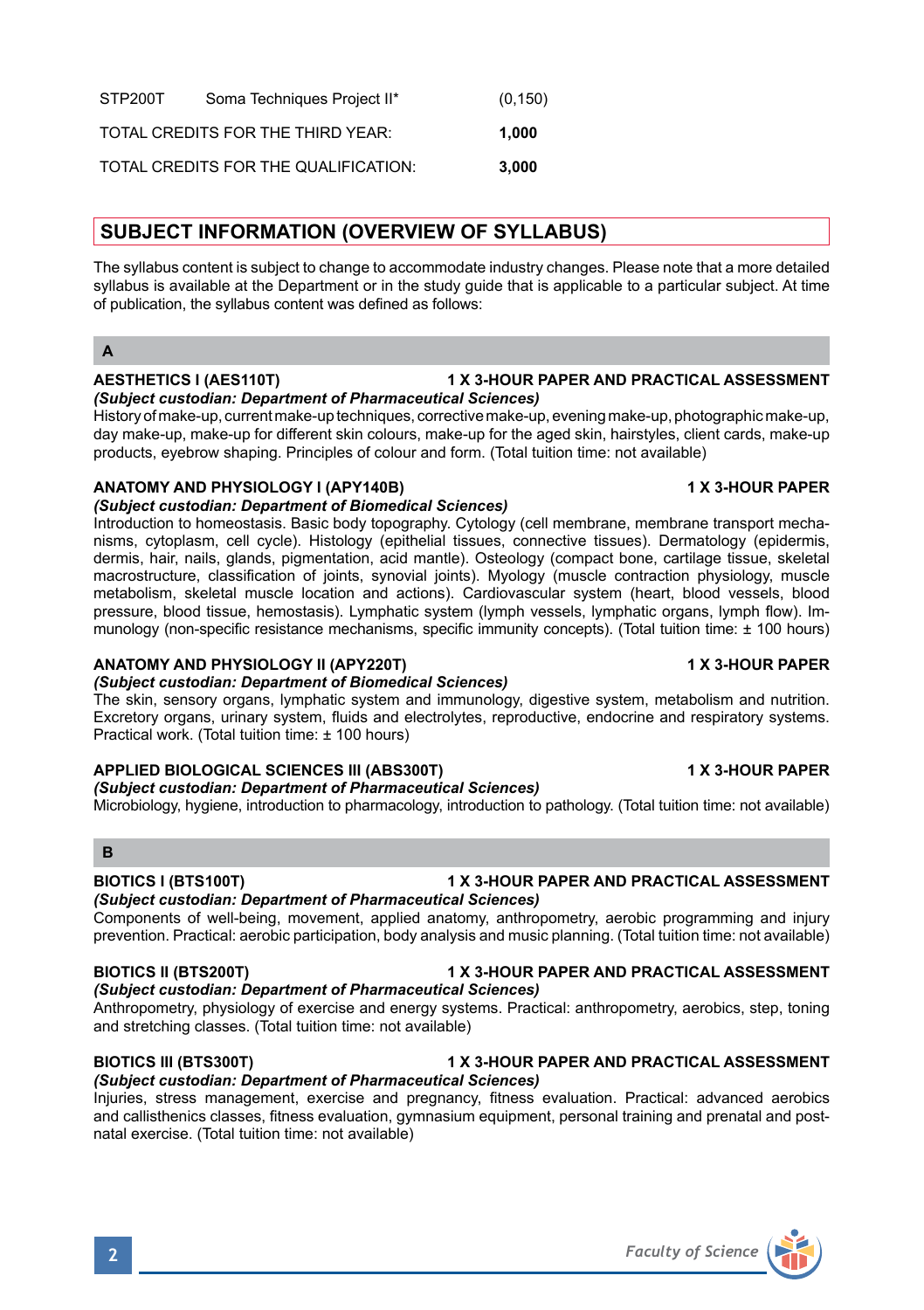| STP200T | Soma Techniques Project II*          | (0, 150) |
|---------|--------------------------------------|----------|
|         | TOTAL CREDITS FOR THE THIRD YEAR:    | 1.000    |
|         | TOTAL CREDITS FOR THE QUALIFICATION: | 3.000    |

# **SUBJECT INFORMATION (OVERVIEW OF SYLLABUS)**

The syllabus content is subject to change to accommodate industry changes. Please note that a more detailed syllabus is available at the Department or in the study guide that is applicable to a particular subject. At time of publication, the syllabus content was defined as follows:

### **A**

# **AESTHETICS I (AES110T) 1 X 3-HOUR PAPER AND PRACTICAL ASSESSMENT**

# *(Subject custodian: Department of Pharmaceutical Sciences)*

History of make-up, current make-up techniques, corrective make-up, evening make-up, photographic make-up, day make-up, make-up for different skin colours, make-up for the aged skin, hairstyles, client cards, make-up products, eyebrow shaping. Principles of colour and form. (Total tuition time: not available)

# **ANATOMY AND PHYSIOLOGY I (APY140B) 1 X 3-HOUR PAPER**

### *(Subject custodian: Department of Biomedical Sciences)*

Introduction to homeostasis. Basic body topography. Cytology (cell membrane, membrane transport mechanisms, cytoplasm, cell cycle). Histology (epithelial tissues, connective tissues). Dermatology (epidermis, dermis, hair, nails, glands, pigmentation, acid mantle). Osteology (compact bone, cartilage tissue, skeletal macrostructure, classification of joints, synovial joints). Myology (muscle contraction physiology, muscle metabolism, skeletal muscle location and actions). Cardiovascular system (heart, blood vessels, blood pressure, blood tissue, hemostasis). Lymphatic system (lymph vessels, lymphatic organs, lymph flow). Immunology (non-specific resistance mechanisms, specific immunity concepts). (Total tuition time: ± 100 hours)

### **ANATOMY AND PHYSIOLOGY II (APY220T) 1 X 3-HOUR PAPER**

# *(Subject custodian: Department of Biomedical Sciences)*

The skin, sensory organs, lymphatic system and immunology, digestive system, metabolism and nutrition. Excretory organs, urinary system, fluids and electrolytes, reproductive, endocrine and respiratory systems. Practical work. (Total tuition time: ± 100 hours)

# **APPLIED BIOLOGICAL SCIENCES III (ABS300T) 1 X 3-HOUR PAPER**

# *(Subject custodian: Department of Pharmaceutical Sciences)*

Microbiology, hygiene, introduction to pharmacology, introduction to pathology. (Total tuition time: not available)

### **B**

### **BIOTICS I (BTS100T) 1 X 3-HOUR PAPER AND PRACTICAL ASSESSMENT**

# *(Subject custodian: Department of Pharmaceutical Sciences)*

Components of well-being, movement, applied anatomy, anthropometry, aerobic programming and injury prevention. Practical: aerobic participation, body analysis and music planning. (Total tuition time: not available)

# **BIOTICS II (BTS200T) 1 X 3-HOUR PAPER AND PRACTICAL ASSESSMENT**

# *(Subject custodian: Department of Pharmaceutical Sciences)*

Anthropometry, physiology of exercise and energy systems. Practical: anthropometry, aerobics, step, toning and stretching classes. (Total tuition time: not available)

### **BIOTICS III (BTS300T) 1 X 3-HOUR PAPER AND PRACTICAL ASSESSMENT** *(Subject custodian: Department of Pharmaceutical Sciences)*

Injuries, stress management, exercise and pregnancy, fitness evaluation. Practical: advanced aerobics and callisthenics classes, fitness evaluation, gymnasium equipment, personal training and prenatal and postnatal exercise. (Total tuition time: not available)

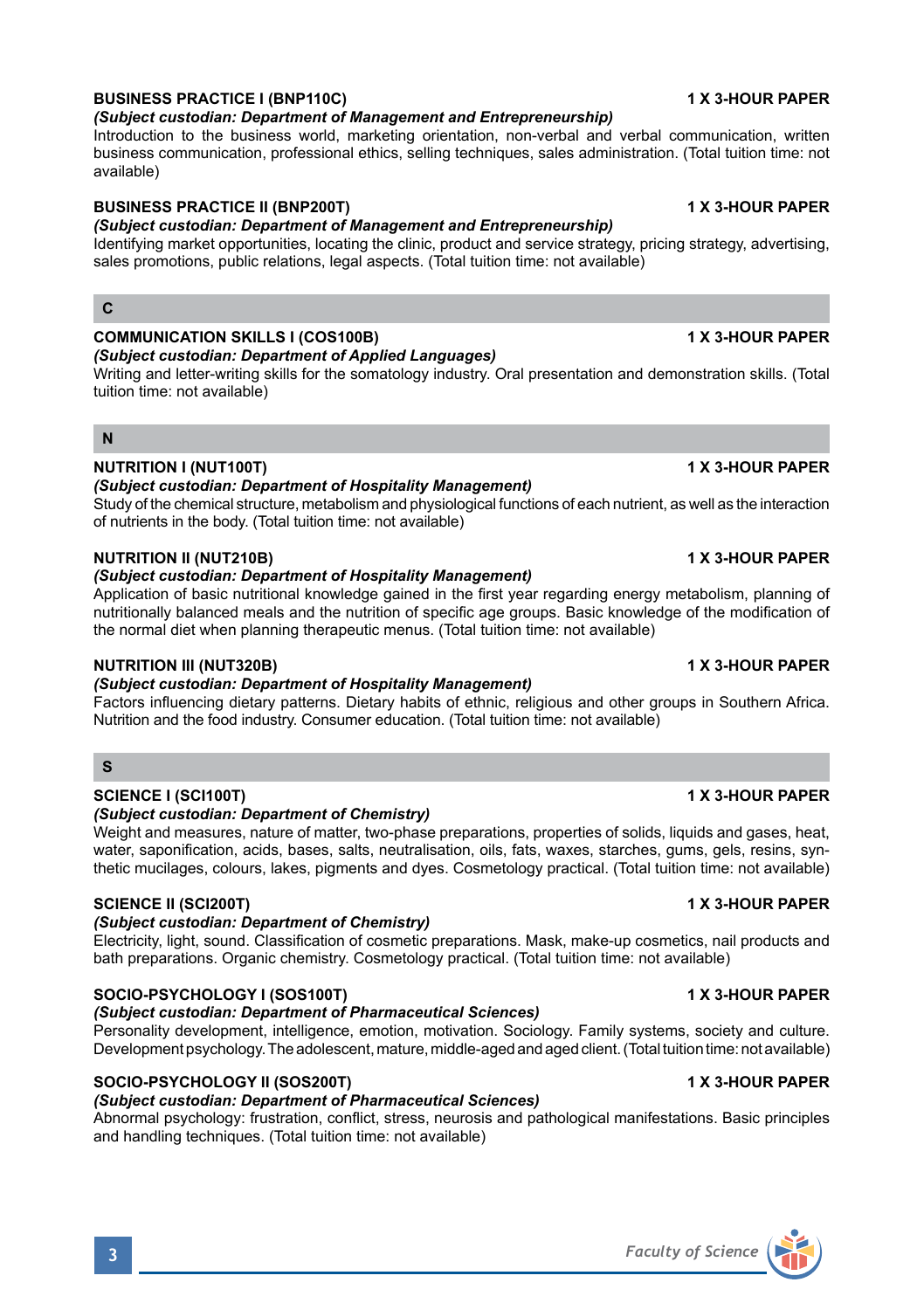# **BUSINESS PRACTICE I (BNP110C) 1 X 3-HOUR PAPER**

# *(Subject custodian: Department of Management and Entrepreneurship)*

Introduction to the business world, marketing orientation, non-verbal and verbal communication, written business communication, professional ethics, selling techniques, sales administration. (Total tuition time: not available)

# **BUSINESS PRACTICE II (BNP200T) 1 X 3-HOUR PAPER**

# *(Subject custodian: Department of Management and Entrepreneurship)*

Identifying market opportunities, locating the clinic, product and service strategy, pricing strategy, advertising, sales promotions, public relations, legal aspects. (Total tuition time: not available)

# **C**

# **COMMUNICATION SKILLS I (COS100B) 1 X 3-HOUR PAPER**

# *(Subject custodian: Department of Applied Languages)*

Writing and letter-writing skills for the somatology industry. Oral presentation and demonstration skills. (Total tuition time: not available)

# **N**

# **NUTRITION I (NUT100T) 1 X 3-HOUR PAPER**

# *(Subject custodian: Department of Hospitality Management)*

Study of the chemical structure, metabolism and physiological functions of each nutrient, as well as the interaction of nutrients in the body. (Total tuition time: not available)

### **NUTRITION II (NUT210B) 1 X 3-HOUR PAPER**

### *(Subject custodian: Department of Hospitality Management)*

Application of basic nutritional knowledge gained in the first year regarding energy metabolism, planning of nutritionally balanced meals and the nutrition of specific age groups. Basic knowledge of the modification of the normal diet when planning therapeutic menus. (Total tuition time: not available)

# **NUTRITION III (NUT320B) 1 X 3-HOUR PAPER**

# *(Subject custodian: Department of Hospitality Management)*

Factors influencing dietary patterns. Dietary habits of ethnic, religious and other groups in Southern Africa. Nutrition and the food industry. Consumer education. (Total tuition time: not available)

# **S**

# **SCIENCE I (SCI100T) 1 X 3-HOUR PAPER**

### *(Subject custodian: Department of Chemistry)*

Weight and measures, nature of matter, two-phase preparations, properties of solids, liquids and gases, heat, water, saponification, acids, bases, salts, neutralisation, oils, fats, waxes, starches, gums, gels, resins, synthetic mucilages, colours, lakes, pigments and dyes. Cosmetology practical. (Total tuition time: not available)

# **SCIENCE II (SCI200T) 1 X 3-HOUR PAPER**

# *(Subject custodian: Department of Chemistry)*

Electricity, light, sound. Classification of cosmetic preparations. Mask, make-up cosmetics, nail products and bath preparations. Organic chemistry. Cosmetology practical. (Total tuition time: not available)

# **SOCIO-PSYCHOLOGY I (SOS100T) 1 X 3-HOUR PAPER**

# *(Subject custodian: Department of Pharmaceutical Sciences)*

Personality development, intelligence, emotion, motivation. Sociology. Family systems, society and culture. Development psychology. The adolescent, mature, middle-aged and aged client. (Total tuition time: not available)

# **SOCIO-PSYCHOLOGY II (SOS200T) 1 X 3-HOUR PAPER**

# *(Subject custodian: Department of Pharmaceutical Sciences)*

Abnormal psychology: frustration, conflict, stress, neurosis and pathological manifestations. Basic principles and handling techniques. (Total tuition time: not available)